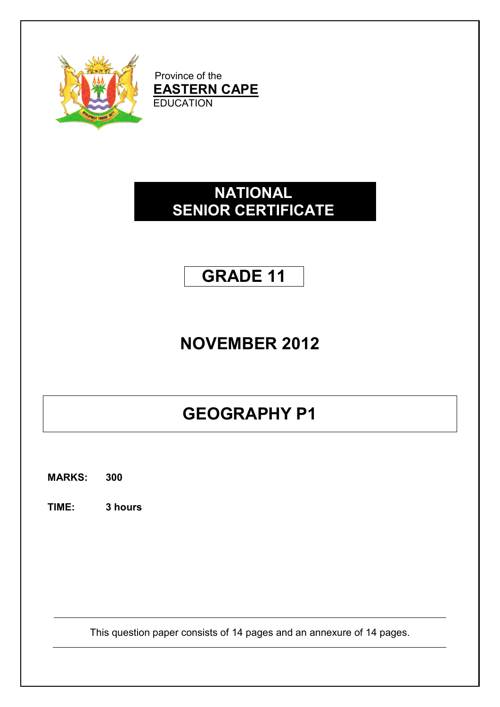

Province of the **EASTERN CAPE** EDUCATION

# **NATIONAL SENIOR CERTIFICATE**

# **GRADE 11**

# **NOVEMBER 2012**

# **GEOGRAPHY P1**

**MARKS: 300**

**TIME: 3 hours**

This question paper consists of 14 pages and an annexure of 14 pages.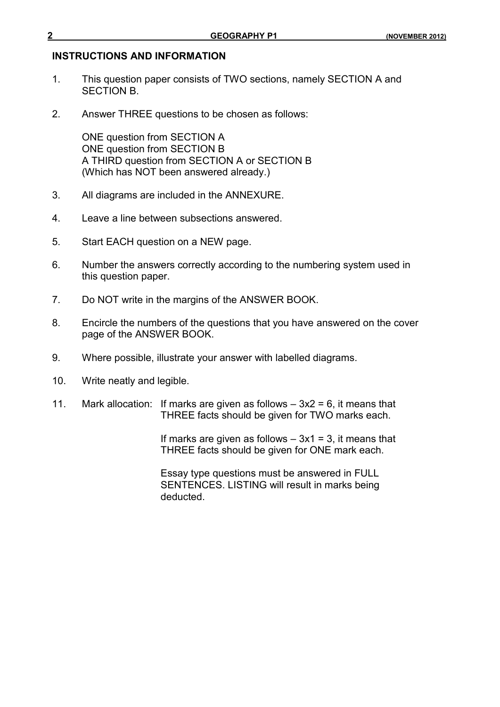#### **INSTRUCTIONS AND INFORMATION**

- 1. This question paper consists of TWO sections, namely SECTION A and SECTION B.
- 2. Answer THREE questions to be chosen as follows:

ONE question from SECTION A ONE question from SECTION B A THIRD question from SECTION A or SECTION B (Which has NOT been answered already.)

- 3. All diagrams are included in the ANNEXURE.
- 4. Leave a line between subsections answered.
- 5. Start EACH question on a NEW page.
- 6. Number the answers correctly according to the numbering system used in this question paper.
- 7. Do NOT write in the margins of the ANSWER BOOK.
- 8. Encircle the numbers of the questions that you have answered on the cover page of the ANSWER BOOK.
- 9. Where possible, illustrate your answer with labelled diagrams.
- 10. Write neatly and legible.
- 11. Mark allocation: If marks are given as follows  $-3x^2 = 6$ , it means that THREE facts should be given for TWO marks each.

If marks are given as follows  $-3x1 = 3$ , it means that THREE facts should be given for ONE mark each.

Essay type questions must be answered in FULL SENTENCES. LISTING will result in marks being deducted.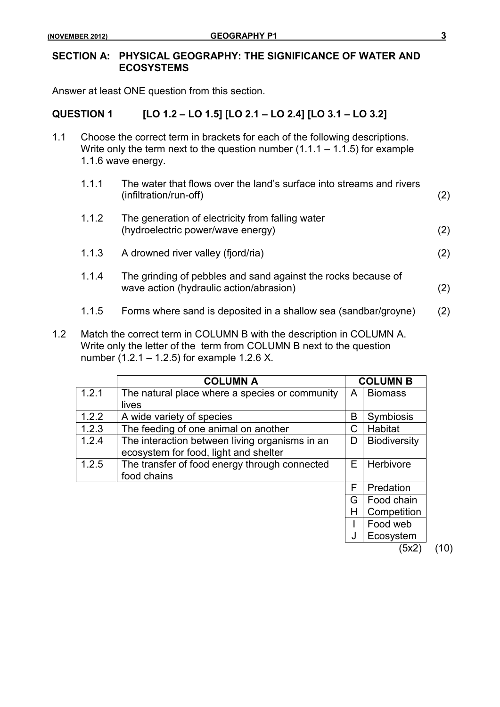### **SECTION A: PHYSICAL GEOGRAPHY: THE SIGNIFICANCE OF WATER AND ECOSYSTEMS**

Answer at least ONE question from this section.

### **QUESTION 1 [LO 1.2 – LO 1.5] [LO 2.1 – LO 2.4] [LO 3.1 – LO 3.2]**

- 1.1 Choose the correct term in brackets for each of the following descriptions. Write only the term next to the question number  $(1.1.1 - 1.1.5)$  for example 1.1.6 wave energy.
	- 1.1.1 The water that flows over the land's surface into streams and rivers (infiltration/run-off) (2) 1.1.2 The generation of electricity from falling water (hydroelectric power/wave energy) (2) 1.1.3 A drowned river valley (fjord/ria) (2) 1.1.4 The grinding of pebbles and sand against the rocks because of wave action (hydraulic action/abrasion) (2)
		- 1.1.5 Forms where sand is deposited in a shallow sea (sandbar/groyne) (2)
- 1.2 Match the correct term in COLUMN B with the description in COLUMN A. Write only the letter of the term from COLUMN B next to the question number (1.2.1 – 1.2.5) for example 1.2.6 X.

|       | <b>COLUMN A</b>                                |   | <b>COLUMN B</b>     |      |
|-------|------------------------------------------------|---|---------------------|------|
| 1.2.1 | The natural place where a species or community | A | <b>Biomass</b>      |      |
|       | lives                                          |   |                     |      |
| 1.2.2 | A wide variety of species                      | B | <b>Symbiosis</b>    |      |
| 1.2.3 | The feeding of one animal on another           | С | Habitat             |      |
| 1.2.4 | The interaction between living organisms in an | D | <b>Biodiversity</b> |      |
|       | ecosystem for food, light and shelter          |   |                     |      |
| 1.2.5 | The transfer of food energy through connected  | Е | Herbivore           |      |
|       | food chains                                    |   |                     |      |
|       |                                                | F | Predation           |      |
|       |                                                | G | Food chain          |      |
|       |                                                | Н | Competition         |      |
|       |                                                |   | Food web            |      |
|       |                                                |   | Ecosystem           |      |
|       |                                                |   | (5x2                | (10) |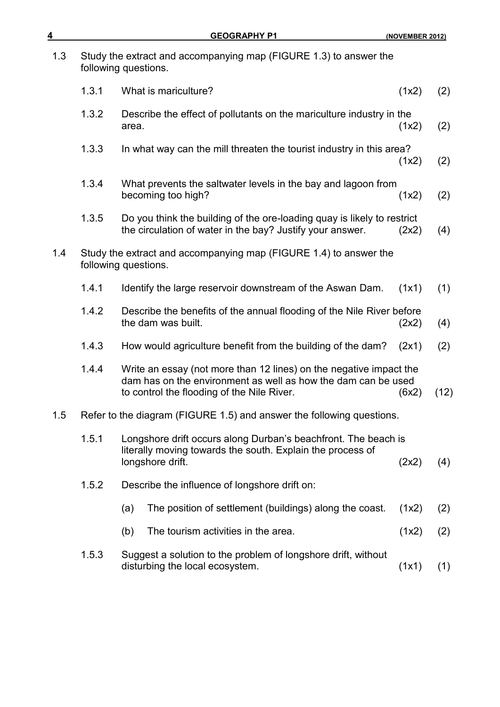| 4   |       | <b>GEOGRAPHY P1</b>                                                                                                                                                               | (NOVEMBER 2012) |      |
|-----|-------|-----------------------------------------------------------------------------------------------------------------------------------------------------------------------------------|-----------------|------|
| 1.3 |       | Study the extract and accompanying map (FIGURE 1.3) to answer the<br>following questions.                                                                                         |                 |      |
|     | 1.3.1 | What is mariculture?                                                                                                                                                              | (1x2)           | (2)  |
|     | 1.3.2 | Describe the effect of pollutants on the mariculture industry in the<br>area.                                                                                                     | (1x2)           | (2)  |
|     | 1.3.3 | In what way can the mill threaten the tourist industry in this area?                                                                                                              | (1x2)           | (2)  |
|     | 1.3.4 | What prevents the saltwater levels in the bay and lagoon from<br>becoming too high?                                                                                               | (1x2)           | (2)  |
|     | 1.3.5 | Do you think the building of the ore-loading quay is likely to restrict<br>the circulation of water in the bay? Justify your answer.                                              | (2x2)           | (4)  |
| 1.4 |       | Study the extract and accompanying map (FIGURE 1.4) to answer the<br>following questions.                                                                                         |                 |      |
|     | 1.4.1 | Identify the large reservoir downstream of the Aswan Dam.                                                                                                                         | (1x1)           | (1)  |
|     | 1.4.2 | Describe the benefits of the annual flooding of the Nile River before<br>the dam was built.                                                                                       | (2x2)           | (4)  |
|     | 1.4.3 | How would agriculture benefit from the building of the dam?                                                                                                                       | (2x1)           | (2)  |
|     | 1.4.4 | Write an essay (not more than 12 lines) on the negative impact the<br>dam has on the environment as well as how the dam can be used<br>to control the flooding of the Nile River. | (6x2)           | (12) |
| 1.5 |       | Refer to the diagram (FIGURE 1.5) and answer the following questions.                                                                                                             |                 |      |
|     | 1.5.1 | Longshore drift occurs along Durban's beachfront. The beach is<br>literally moving towards the south. Explain the process of<br>longshore drift.                                  | (2x2)           | (4)  |
|     | 1.5.2 | Describe the influence of longshore drift on:                                                                                                                                     |                 |      |
|     |       | The position of settlement (buildings) along the coast.<br>(a)                                                                                                                    | (1x2)           | (2)  |
|     |       | The tourism activities in the area.<br>(b)                                                                                                                                        | (1x2)           | (2)  |
|     | 1.5.3 | Suggest a solution to the problem of longshore drift, without<br>disturbing the local ecosystem.                                                                                  | (1x1)           | (1)  |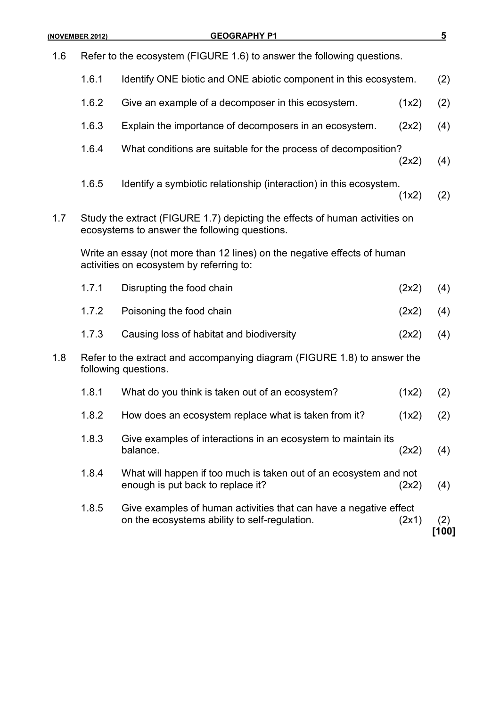| 1.6 |       | Refer to the ecosystem (FIGURE 1.6) to answer the following questions.                                                       |       |              |
|-----|-------|------------------------------------------------------------------------------------------------------------------------------|-------|--------------|
|     | 1.6.1 | Identify ONE biotic and ONE abiotic component in this ecosystem.                                                             |       | (2)          |
|     | 1.6.2 | Give an example of a decomposer in this ecosystem.                                                                           | (1x2) | (2)          |
|     | 1.6.3 | Explain the importance of decomposers in an ecosystem.                                                                       | (2x2) | (4)          |
|     | 1.6.4 | What conditions are suitable for the process of decomposition?                                                               | (2x2) | (4)          |
|     | 1.6.5 | Identify a symbiotic relationship (interaction) in this ecosystem.                                                           | (1x2) | (2)          |
| 1.7 |       | Study the extract (FIGURE 1.7) depicting the effects of human activities on<br>ecosystems to answer the following questions. |       |              |
|     |       | Write an essay (not more than 12 lines) on the negative effects of human<br>activities on ecosystem by referring to:         |       |              |
|     | 1.7.1 | Disrupting the food chain                                                                                                    | (2x2) | (4)          |
|     | 1.7.2 | Poisoning the food chain                                                                                                     | (2x2) | (4)          |
|     | 1.7.3 | Causing loss of habitat and biodiversity                                                                                     | (2x2) | (4)          |
| 1.8 |       | Refer to the extract and accompanying diagram (FIGURE 1.8) to answer the<br>following questions.                             |       |              |
|     | 1.8.1 | What do you think is taken out of an ecosystem?                                                                              | (1x2) | (2)          |
|     | 1.8.2 | How does an ecosystem replace what is taken from it?                                                                         | (1x2) | (2)          |
|     | 1.8.3 | Give examples of interactions in an ecosystem to maintain its<br>balance.                                                    | (2x2) | (4)          |
|     | 1.8.4 | What will happen if too much is taken out of an ecosystem and not<br>enough is put back to replace it?                       | (2x2) | (4)          |
|     | 1.8.5 | Give examples of human activities that can have a negative effect<br>on the ecosystems ability to self-regulation.           | (2x1) | (2)<br>[100] |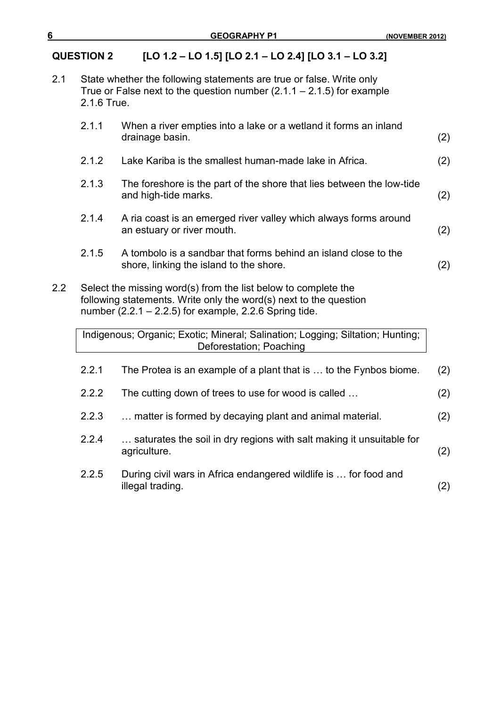# **QUESTION 2 [LO 1.2 – LO 1.5] [LO 2.1 – LO 2.4] [LO 3.1 – LO 3.2]**

| $2.1\,$ | State whether the following statements are true or false. Write only    |
|---------|-------------------------------------------------------------------------|
|         | True or False next to the question number $(2.1.1 – 2.1.5)$ for example |
|         | 2.1.6 True.                                                             |

|                  | 2.1.1 | When a river empties into a lake or a wetland it forms an inland<br>drainage basin.                                                                                                             | (2) |
|------------------|-------|-------------------------------------------------------------------------------------------------------------------------------------------------------------------------------------------------|-----|
|                  | 2.1.2 | Lake Kariba is the smallest human-made lake in Africa.                                                                                                                                          | (2) |
|                  | 2.1.3 | The foreshore is the part of the shore that lies between the low-tide<br>and high-tide marks.                                                                                                   | (2) |
|                  | 2.1.4 | A ria coast is an emerged river valley which always forms around<br>an estuary or river mouth.                                                                                                  | (2) |
|                  | 2.1.5 | A tombolo is a sandbar that forms behind an island close to the<br>shore, linking the island to the shore.                                                                                      | (2) |
| 2.2 <sub>2</sub> |       | Select the missing word(s) from the list below to complete the<br>following statements. Write only the word(s) next to the question<br>number $(2.2.1 - 2.2.5)$ for example, 2.2.6 Spring tide. |     |
|                  |       | Indigenous; Organic; Exotic; Mineral; Salination; Logging; Siltation; Hunting;<br>Deforestation; Poaching                                                                                       |     |
|                  | 2.2.1 | The Protea is an example of a plant that is  to the Fynbos biome.                                                                                                                               | (2) |
|                  | 2.2.2 | The cutting down of trees to use for wood is called                                                                                                                                             | (2) |
|                  | 2.2.3 | matter is formed by decaying plant and animal material.                                                                                                                                         | (2) |
|                  | 2.2.4 | saturates the soil in dry regions with salt making it unsuitable for<br>agriculture.                                                                                                            | (2) |
|                  | 2.2.5 | During civil wars in Africa endangered wildlife is  for food and<br>illegal trading.                                                                                                            | (2) |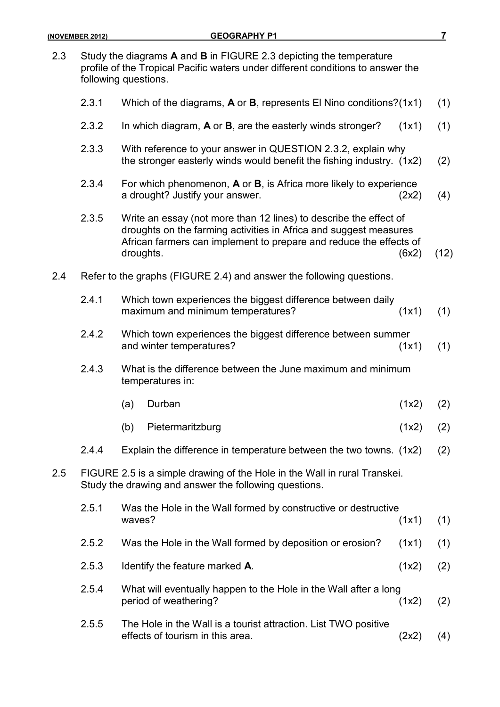|     | 2.3.1 | Which of the diagrams, $A$ or $B$ , represents El Nino conditions?(1x1)                                                                                                                                                   |       | (1)  |
|-----|-------|---------------------------------------------------------------------------------------------------------------------------------------------------------------------------------------------------------------------------|-------|------|
|     | 2.3.2 | In which diagram, A or B, are the easterly winds stronger?                                                                                                                                                                | (1x1) | (1)  |
|     | 2.3.3 | With reference to your answer in QUESTION 2.3.2, explain why<br>the stronger easterly winds would benefit the fishing industry. (1x2)                                                                                     |       | (2)  |
|     | 2.3.4 | For which phenomenon, A or B, is Africa more likely to experience<br>a drought? Justify your answer.                                                                                                                      | (2x2) | (4)  |
|     | 2.3.5 | Write an essay (not more than 12 lines) to describe the effect of<br>droughts on the farming activities in Africa and suggest measures<br>African farmers can implement to prepare and reduce the effects of<br>droughts. | (6x2) | (12) |
| 2.4 |       | Refer to the graphs (FIGURE 2.4) and answer the following questions.                                                                                                                                                      |       |      |
|     | 2.4.1 | Which town experiences the biggest difference between daily<br>maximum and minimum temperatures?                                                                                                                          | (1x1) | (1)  |
|     | 2.4.2 | Which town experiences the biggest difference between summer<br>and winter temperatures?                                                                                                                                  | (1x1) | (1)  |
|     | 2.4.3 | What is the difference between the June maximum and minimum<br>temperatures in:                                                                                                                                           |       |      |
|     |       | Durban<br>(a)                                                                                                                                                                                                             | (1x2) | (2)  |
|     |       | (b)<br>Pietermaritzburg                                                                                                                                                                                                   | (1x2) | (2)  |
|     | 2.4.4 | Explain the difference in temperature between the two towns. (1x2)                                                                                                                                                        |       | (2)  |

2.5 FIGURE 2.5 is a simple drawing of the Hole in the Wall in rural Transkei. Study the drawing and answer the following questions.

| 2.5.1 | Was the Hole in the Wall formed by constructive or destructive                                      |       |     |  |  |
|-------|-----------------------------------------------------------------------------------------------------|-------|-----|--|--|
|       | waves?                                                                                              | (1x1) | (1) |  |  |
| 2.5.2 | Was the Hole in the Wall formed by deposition or erosion?                                           | (1x1) | (1) |  |  |
| 2.5.3 | Identify the feature marked A.                                                                      | (1x2) | (2) |  |  |
| 2.5.4 | What will eventually happen to the Hole in the Wall after a long<br>period of weathering?           | (1x2) | (2) |  |  |
| 2.5.5 | The Hole in the Wall is a tourist attraction. List TWO positive<br>effects of tourism in this area. | 2x2   | (4) |  |  |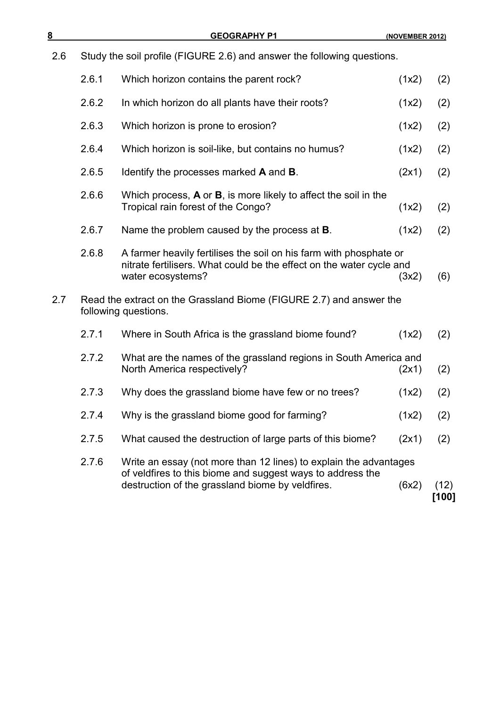| <u>8</u> |       | <b>GEOGRAPHY P1</b>                                                                                                                                             | (NOVEMBER 2012) |               |
|----------|-------|-----------------------------------------------------------------------------------------------------------------------------------------------------------------|-----------------|---------------|
| 2.6      |       | Study the soil profile (FIGURE 2.6) and answer the following questions.                                                                                         |                 |               |
|          | 2.6.1 | Which horizon contains the parent rock?                                                                                                                         | (1x2)           | (2)           |
|          | 2.6.2 | In which horizon do all plants have their roots?                                                                                                                | (1x2)           | (2)           |
|          | 2.6.3 | Which horizon is prone to erosion?                                                                                                                              | (1x2)           | (2)           |
|          | 2.6.4 | Which horizon is soil-like, but contains no humus?                                                                                                              | (1x2)           | (2)           |
|          | 2.6.5 | Identify the processes marked <b>A</b> and <b>B</b> .                                                                                                           | (2x1)           | (2)           |
|          | 2.6.6 | Which process, $A$ or $B$ , is more likely to affect the soil in the<br>Tropical rain forest of the Congo?                                                      | (1x2)           | (2)           |
|          | 2.6.7 | Name the problem caused by the process at <b>B</b> .                                                                                                            | (1x2)           | (2)           |
|          | 2.6.8 | A farmer heavily fertilises the soil on his farm with phosphate or<br>nitrate fertilisers. What could be the effect on the water cycle and<br>water ecosystems? | (3x2)           | (6)           |
| 2.7      |       | Read the extract on the Grassland Biome (FIGURE 2.7) and answer the<br>following questions.                                                                     |                 |               |
|          | 2.7.1 | Where in South Africa is the grassland biome found?                                                                                                             | (1x2)           | (2)           |
|          | 2.7.2 | What are the names of the grassland regions in South America and<br>North America respectively?                                                                 | (2x1)           | (2)           |
|          | 2.7.3 | Why does the grassland biome have few or no trees?                                                                                                              | (1x2)           | (2)           |
|          | 2.7.4 | Why is the grassland biome good for farming?                                                                                                                    | (1x2)           | (2)           |
|          | 2.7.5 | What caused the destruction of large parts of this biome?                                                                                                       | (2x1)           | (2)           |
|          | 2.7.6 | Write an essay (not more than 12 lines) to explain the advantages<br>of veldfires to this biome and suggest ways to address the                                 |                 |               |
|          |       | destruction of the grassland biome by veldfires.                                                                                                                | (6x2)           | (12)<br>[100] |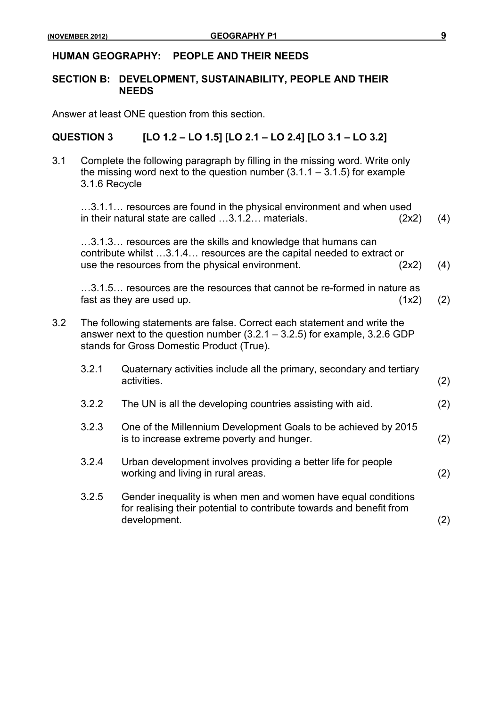#### **HUMAN GEOGRAPHY: PEOPLE AND THEIR NEEDS**

### **SECTION B: DEVELOPMENT, SUSTAINABILITY, PEOPLE AND THEIR NEEDS**

Answer at least ONE question from this section.

### **QUESTION 3 [LO 1.2 – LO 1.5] [LO 2.1 – LO 2.4] [LO 3.1 – LO 3.2]**

3.1 Complete the following paragraph by filling in the missing word. Write only the missing word next to the question number  $(3.1.1 - 3.1.5)$  for example 3.1.6 Recycle

…3.1.1… resources are found in the physical environment and when used in their natural state are called  $\dots$ 3.1.2 $\dots$  materials. (2x2) (4)

…3.1.3… resources are the skills and knowledge that humans can contribute whilst …3.1.4… resources are the capital needed to extract or use the resources from the physical environment. (2x2) (4)

…3.1.5… resources are the resources that cannot be re-formed in nature as fast as they are used up.  $(1x2)$  (2)

- 3.2 The following statements are false. Correct each statement and write the answer next to the question number (3.2.1 – 3.2.5) for example, 3.2.6 GDP stands for Gross Domestic Product (True).
	- 3.2.1 Quaternary activities include all the primary, secondary and tertiary activities. (2)
	- 3.2.2 The UN is all the developing countries assisting with aid. (2)
	- 3.2.3 One of the Millennium Development Goals to be achieved by 2015 is to increase extreme poverty and hunger. (2)
	- 3.2.4 Urban development involves providing a better life for people working and living in rural areas. (2)
	- 3.2.5 Gender inequality is when men and women have equal conditions for realising their potential to contribute towards and benefit from development. (2)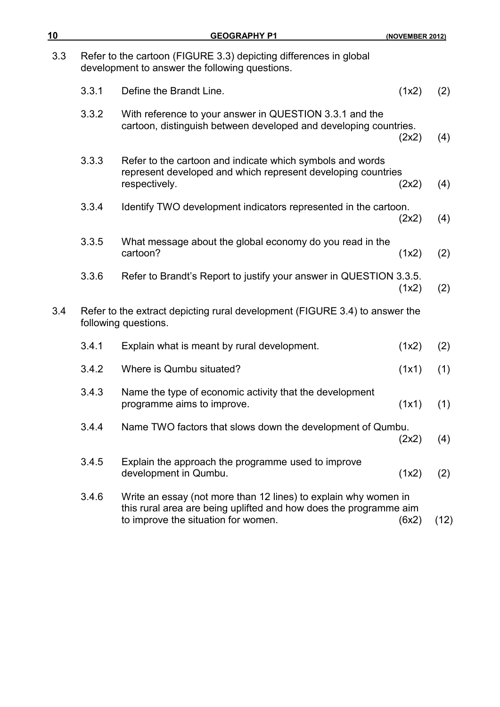| 10  |       | <b>GEOGRAPHY P1</b>                                                                                                                                                         | (NOVEMBER 2012) |      |
|-----|-------|-----------------------------------------------------------------------------------------------------------------------------------------------------------------------------|-----------------|------|
| 3.3 |       | Refer to the cartoon (FIGURE 3.3) depicting differences in global<br>development to answer the following questions.                                                         |                 |      |
|     | 3.3.1 | Define the Brandt Line.                                                                                                                                                     | (1x2)           | (2)  |
|     | 3.3.2 | With reference to your answer in QUESTION 3.3.1 and the<br>cartoon, distinguish between developed and developing countries.                                                 | (2x2)           | (4)  |
|     | 3.3.3 | Refer to the cartoon and indicate which symbols and words<br>represent developed and which represent developing countries<br>respectively.                                  | (2x2)           | (4)  |
|     | 3.3.4 | Identify TWO development indicators represented in the cartoon.                                                                                                             | (2x2)           | (4)  |
|     | 3.3.5 | What message about the global economy do you read in the<br>cartoon?                                                                                                        | (1x2)           | (2)  |
|     | 3.3.6 | Refer to Brandt's Report to justify your answer in QUESTION 3.3.5.                                                                                                          | (1x2)           | (2)  |
| 3.4 |       | Refer to the extract depicting rural development (FIGURE 3.4) to answer the<br>following questions.                                                                         |                 |      |
|     | 3.4.1 | Explain what is meant by rural development.                                                                                                                                 | (1x2)           | (2)  |
|     | 3.4.2 | Where is Qumbu situated?                                                                                                                                                    | (1x1)           | (1)  |
|     | 3.4.3 | Name the type of economic activity that the development<br>programme aims to improve.                                                                                       | (1x1)           | (1)  |
|     | 3.4.4 | Name TWO factors that slows down the development of Qumbu.                                                                                                                  | (2x2)           | (4)  |
|     | 3.4.5 | Explain the approach the programme used to improve<br>development in Qumbu.                                                                                                 | (1x2)           | (2)  |
|     | 3.4.6 | Write an essay (not more than 12 lines) to explain why women in<br>this rural area are being uplifted and how does the programme aim<br>to improve the situation for women. | (6x2)           | (12) |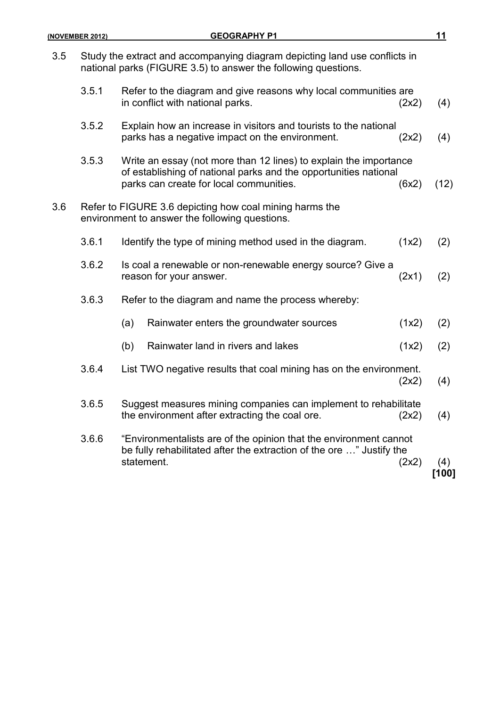|     | (NOVEMBER 2012) | <b>GEOGRAPHY P1</b>                                                                                                                                                              |       | 11             |
|-----|-----------------|----------------------------------------------------------------------------------------------------------------------------------------------------------------------------------|-------|----------------|
| 3.5 |                 | Study the extract and accompanying diagram depicting land use conflicts in<br>national parks (FIGURE 3.5) to answer the following questions.                                     |       |                |
|     | 3.5.1           | Refer to the diagram and give reasons why local communities are<br>in conflict with national parks.                                                                              | (2x2) | (4)            |
|     | 3.5.2           | Explain how an increase in visitors and tourists to the national<br>parks has a negative impact on the environment.                                                              | (2x2) | (4)            |
|     | 3.5.3           | Write an essay (not more than 12 lines) to explain the importance<br>of establishing of national parks and the opportunities national<br>parks can create for local communities. | (6x2) | (12)           |
| 3.6 |                 | Refer to FIGURE 3.6 depicting how coal mining harms the<br>environment to answer the following questions.                                                                        |       |                |
|     | 3.6.1           | Identify the type of mining method used in the diagram.                                                                                                                          | (1x2) | (2)            |
|     | 3.6.2           | Is coal a renewable or non-renewable energy source? Give a<br>reason for your answer.                                                                                            | (2x1) | (2)            |
|     | 3.6.3           | Refer to the diagram and name the process whereby:                                                                                                                               |       |                |
|     |                 | Rainwater enters the groundwater sources<br>(a)                                                                                                                                  | (1x2) | (2)            |
|     |                 | Rainwater land in rivers and lakes<br>(b)                                                                                                                                        | (1x2) | (2)            |
|     | 3.6.4           | List TWO negative results that coal mining has on the environment.                                                                                                               | (2x2) | (4)            |
|     | 3.6.5           | Suggest measures mining companies can implement to rehabilitate<br>the environment after extracting the coal ore.                                                                | (2x2) | (4)            |
|     | 3.6.6           | "Environmentalists are of the opinion that the environment cannot<br>be fully rehabilitated after the extraction of the ore " Justify the<br>statement.                          | (2x2) | (4)<br>$[100]$ |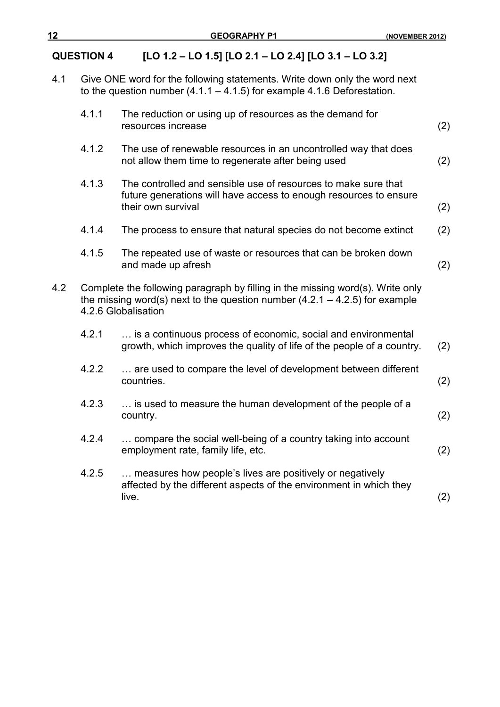## **QUESTION 4 [LO 1.2 – LO 1.5] [LO 2.1 – LO 2.4] [LO 3.1 – LO 3.2]**

4.1 Give ONE word for the following statements. Write down only the word next to the question number (4.1.1 – 4.1.5) for example 4.1.6 Deforestation.

|     | 4.1.1 | The reduction or using up of resources as the demand for<br>resources increase                                                                                                         | (2) |
|-----|-------|----------------------------------------------------------------------------------------------------------------------------------------------------------------------------------------|-----|
|     | 4.1.2 | The use of renewable resources in an uncontrolled way that does<br>not allow them time to regenerate after being used                                                                  | (2) |
|     | 4.1.3 | The controlled and sensible use of resources to make sure that<br>future generations will have access to enough resources to ensure<br>their own survival                              | (2) |
|     | 4.1.4 | The process to ensure that natural species do not become extinct                                                                                                                       | (2) |
|     | 4.1.5 | The repeated use of waste or resources that can be broken down<br>and made up afresh                                                                                                   | (2) |
| 4.2 |       | Complete the following paragraph by filling in the missing word(s). Write only<br>the missing word(s) next to the question number $(4.2.1 - 4.2.5)$ for example<br>4.2.6 Globalisation |     |
|     | 4.2.1 | is a continuous process of economic, social and environmental<br>growth, which improves the quality of life of the people of a country.                                                | (2) |
|     | 4.2.2 | are used to compare the level of development between different<br>countries.                                                                                                           | (2) |
|     | 4.2.3 | is used to measure the human development of the people of a<br>country.                                                                                                                | (2) |
|     | 4.2.4 | compare the social well-being of a country taking into account<br>employment rate, family life, etc.                                                                                   | (2) |
|     | 4.2.5 | measures how people's lives are positively or negatively<br>affected by the different aspects of the environment in which they<br>live.                                                | (2) |
|     |       |                                                                                                                                                                                        |     |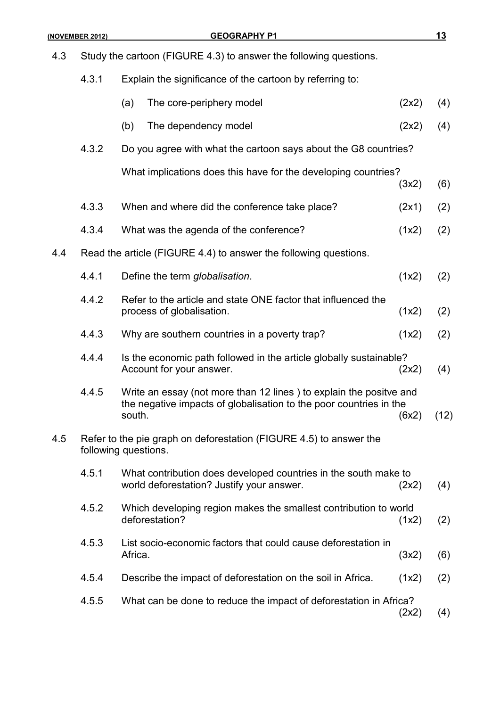| 4.3 |       | Study the cartoon (FIGURE 4.3) to answer the following questions.                                                                                  |       |      |
|-----|-------|----------------------------------------------------------------------------------------------------------------------------------------------------|-------|------|
|     | 4.3.1 | Explain the significance of the cartoon by referring to:                                                                                           |       |      |
|     |       | The core-periphery model<br>(a)                                                                                                                    | (2x2) | (4)  |
|     |       | (b)<br>The dependency model                                                                                                                        | (2x2) | (4)  |
|     | 4.3.2 | Do you agree with what the cartoon says about the G8 countries?                                                                                    |       |      |
|     |       | What implications does this have for the developing countries?                                                                                     | (3x2) | (6)  |
|     | 4.3.3 | When and where did the conference take place?                                                                                                      | (2x1) | (2)  |
|     | 4.3.4 | What was the agenda of the conference?                                                                                                             | (1x2) | (2)  |
| 4.4 |       | Read the article (FIGURE 4.4) to answer the following questions.                                                                                   |       |      |
|     | 4.4.1 | Define the term globalisation.                                                                                                                     | (1x2) | (2)  |
|     | 4.4.2 | Refer to the article and state ONE factor that influenced the<br>process of globalisation.                                                         | (1x2) | (2)  |
|     | 4.4.3 | Why are southern countries in a poverty trap?                                                                                                      | (1x2) | (2)  |
|     | 4.4.4 | Is the economic path followed in the article globally sustainable?<br>Account for your answer.                                                     | (2x2) | (4)  |
|     | 4.4.5 | Write an essay (not more than 12 lines) to explain the positve and<br>the negative impacts of globalisation to the poor countries in the<br>south. | (6x2) | (12) |
| 4.5 |       | Refer to the pie graph on deforestation (FIGURE 4.5) to answer the<br>following questions.                                                         |       |      |
|     | 4.5.1 | What contribution does developed countries in the south make to<br>world deforestation? Justify your answer.                                       | (2x2) | (4)  |
|     | 4.5.2 | Which developing region makes the smallest contribution to world<br>deforestation?                                                                 | (1x2) | (2)  |
|     | 4.5.3 | List socio-economic factors that could cause deforestation in<br>Africa.                                                                           | (3x2) | (6)  |
|     | 4.5.4 | Describe the impact of deforestation on the soil in Africa.                                                                                        | (1x2) | (2)  |
|     | 4.5.5 | What can be done to reduce the impact of deforestation in Africa?                                                                                  | (2x2) | (4)  |